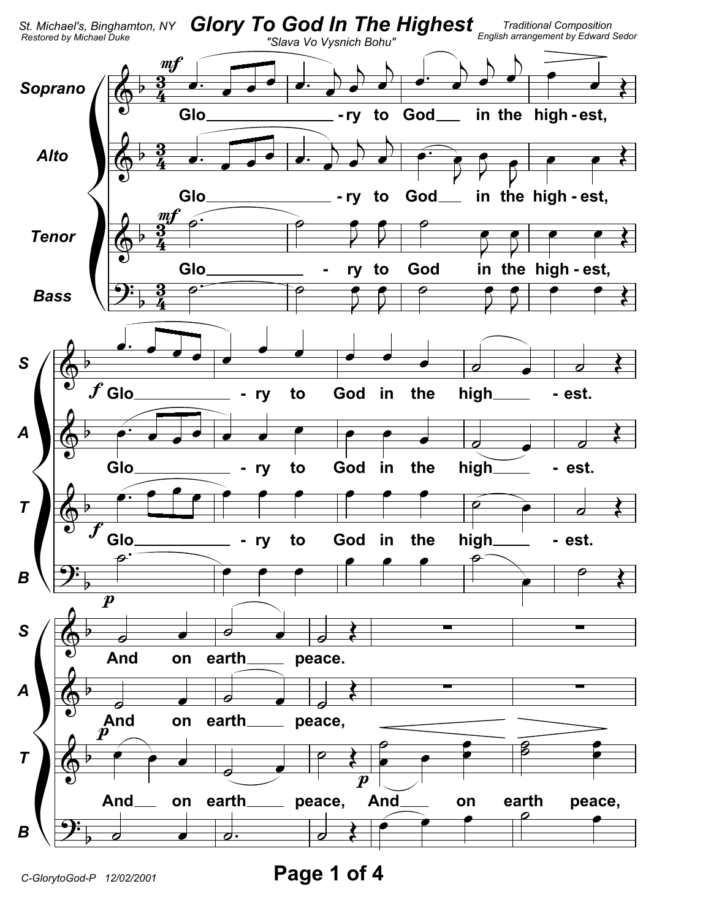

Page 1 of 4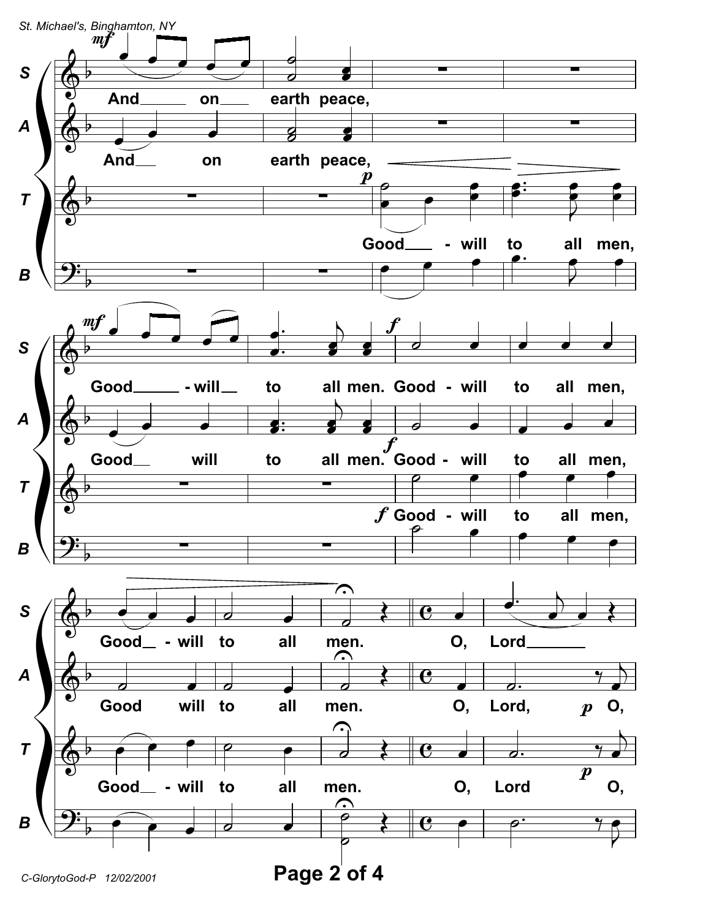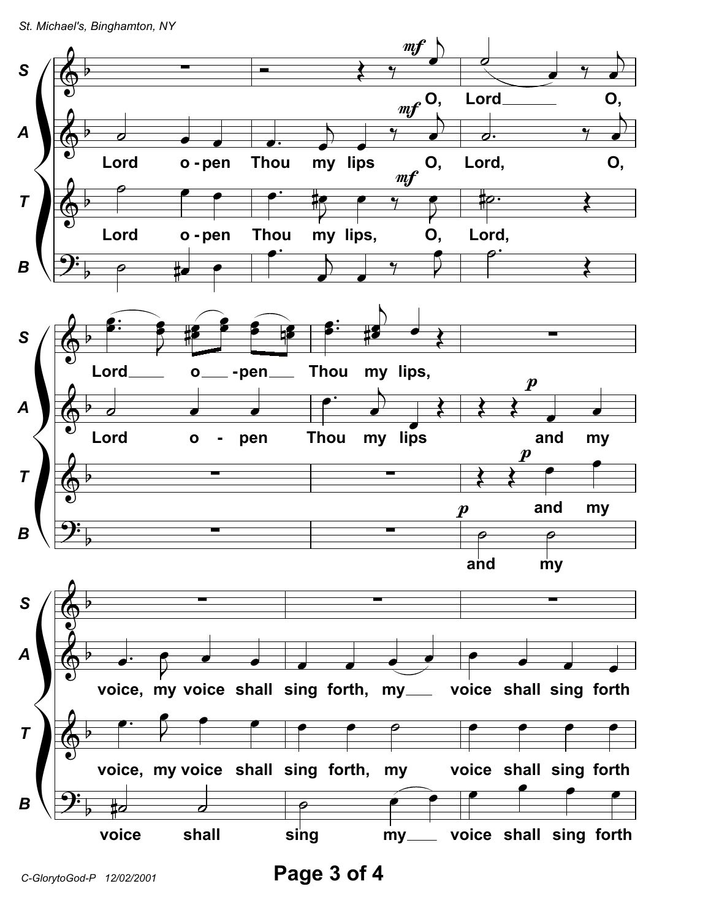

Page 3 of 4